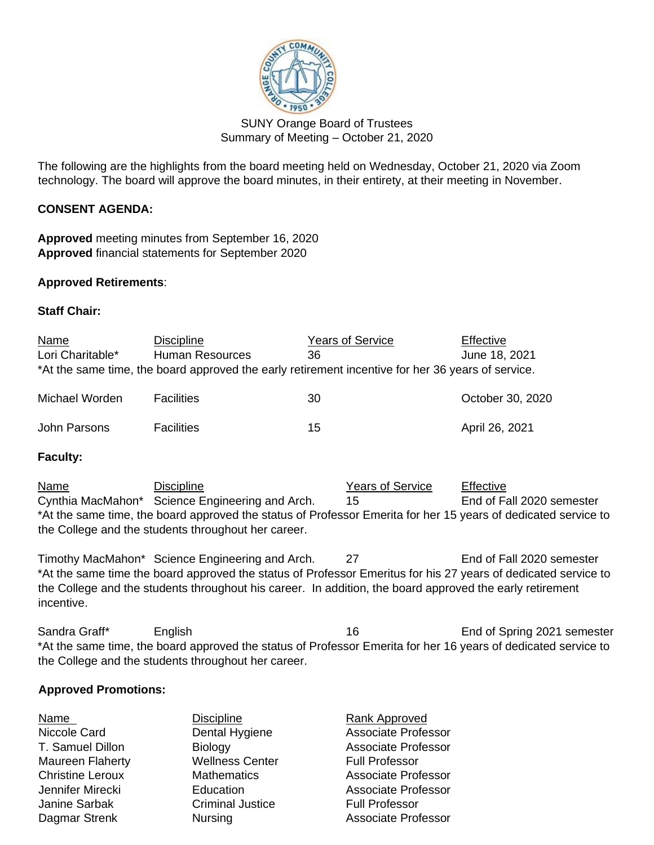

SUNY Orange Board of Trustees Summary of Meeting – October 21, 2020

The following are the highlights from the board meeting held on Wednesday, October 21, 2020 via Zoom technology. The board will approve the board minutes, in their entirety, at their meeting in November.

# **CONSENT AGENDA:**

**Approved** meeting minutes from September 16, 2020 **Approved** financial statements for September 2020

### **Approved Retirements**:

### **Staff Chair:**

| <b>Name</b>      | <b>Discipline</b>      | <b>Years of Service</b>                                                                           | Effective        |
|------------------|------------------------|---------------------------------------------------------------------------------------------------|------------------|
| Lori Charitable* | <b>Human Resources</b> | 36                                                                                                | June 18, 2021    |
|                  |                        | *At the same time, the board approved the early retirement incentive for her 36 years of service. |                  |
| Michael Worden   | <b>Facilities</b>      | 30                                                                                                | October 30, 2020 |
| John Parsons     | <b>Facilities</b>      | 15                                                                                                | April 26, 2021   |

#### **Faculty:**

Name **Discipline** Discipline **Name** Years of Service Effective Cynthia MacMahon\* Science Engineering and Arch. 15 Find of Fall 2020 semester \*At the same time, the board approved the status of Professor Emerita for her 15 years of dedicated service to the College and the students throughout her career.

Timothy MacMahon\* Science Engineering and Arch. 27 End of Fall 2020 semester \*At the same time the board approved the status of Professor Emeritus for his 27 years of dedicated service to the College and the students throughout his career. In addition, the board approved the early retirement incentive.

Sandra Graff<sup>\*</sup> English 16 English 16 End of Spring 2021 semester \*At the same time, the board approved the status of Professor Emerita for her 16 years of dedicated service to the College and the students throughout her career.

# **Approved Promotions:**

|                         | Rank Approved              |
|-------------------------|----------------------------|
| Dental Hygiene          | <b>Associate Professor</b> |
| <b>Biology</b>          | <b>Associate Professor</b> |
| <b>Wellness Center</b>  | <b>Full Professor</b>      |
| <b>Mathematics</b>      | <b>Associate Professor</b> |
| Education               | Associate Professor        |
| <b>Criminal Justice</b> | <b>Full Professor</b>      |
| <b>Nursing</b>          | <b>Associate Professor</b> |
|                         | <b>Discipline</b>          |